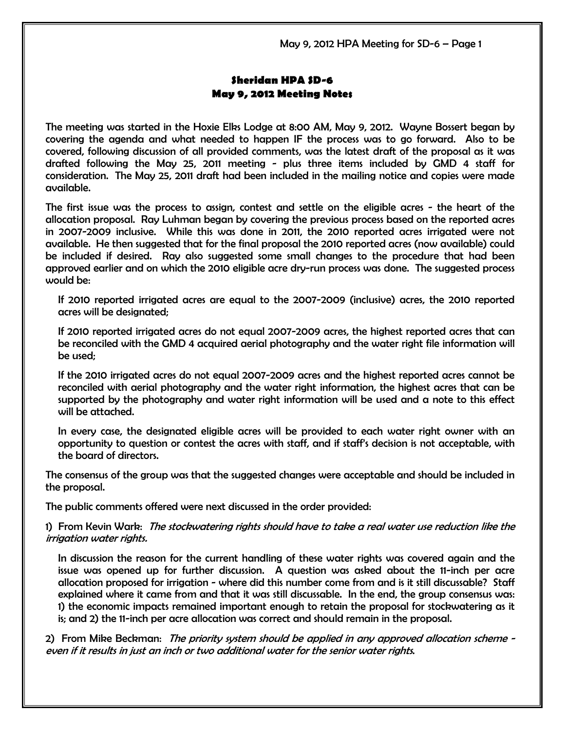May 9, 2012 HPA Meeting for SD-6 – Page 1

## Sheridan HPA SD-6 May 9, 2012 Meeting Notes

The meeting was started in the Hoxie Elks Lodge at 8:00 AM, May 9, 2012. Wayne Bossert began by covering the agenda and what needed to happen IF the process was to go forward. Also to be covered, following discussion of all provided comments, was the latest draft of the proposal as it was drafted following the May 25, 2011 meeting - plus three items included by GMD 4 staff for consideration. The May 25, 2011 draft had been included in the mailing notice and copies were made available.

The first issue was the process to assign, contest and settle on the eligible acres - the heart of the allocation proposal. Ray Luhman began by covering the previous process based on the reported acres in 2007-2009 inclusive. While this was done in 2011, the 2010 reported acres irrigated were not available. He then suggested that for the final proposal the 2010 reported acres (now available) could be included if desired. Ray also suggested some small changes to the procedure that had been approved earlier and on which the 2010 eligible acre dry-run process was done. The suggested process would be:

If 2010 reported irrigated acres are equal to the 2007-2009 (inclusive) acres, the 2010 reported acres will be designated;

If 2010 reported irrigated acres do not equal 2007-2009 acres, the highest reported acres that can be reconciled with the GMD 4 acquired aerial photography and the water right file information will be used;

If the 2010 irrigated acres do not equal 2007-2009 acres and the highest reported acres cannot be reconciled with aerial photography and the water right information, the highest acres that can be supported by the photography and water right information will be used and a note to this effect will be attached.

In every case, the designated eligible acres will be provided to each water right owner with an opportunity to question or contest the acres with staff, and if staff's decision is not acceptable, with the board of directors.

The consensus of the group was that the suggested changes were acceptable and should be included in the proposal.

The public comments offered were next discussed in the order provided:

1) From Kevin Wark: The stockwatering rights should have to take a real water use reduction like the irrigation water rights.

In discussion the reason for the current handling of these water rights was covered again and the issue was opened up for further discussion. A question was asked about the 11-inch per acre allocation proposed for irrigation - where did this number come from and is it still discussable? Staff explained where it came from and that it was still discussable. In the end, the group consensus was: 1) the economic impacts remained important enough to retain the proposal for stockwatering as it is; and 2) the 11-inch per acre allocation was correct and should remain in the proposal.

2) From Mike Beckman: The priority system should be applied in any approved allocation scheme even if it results in just an inch or two additional water for the senior water rights.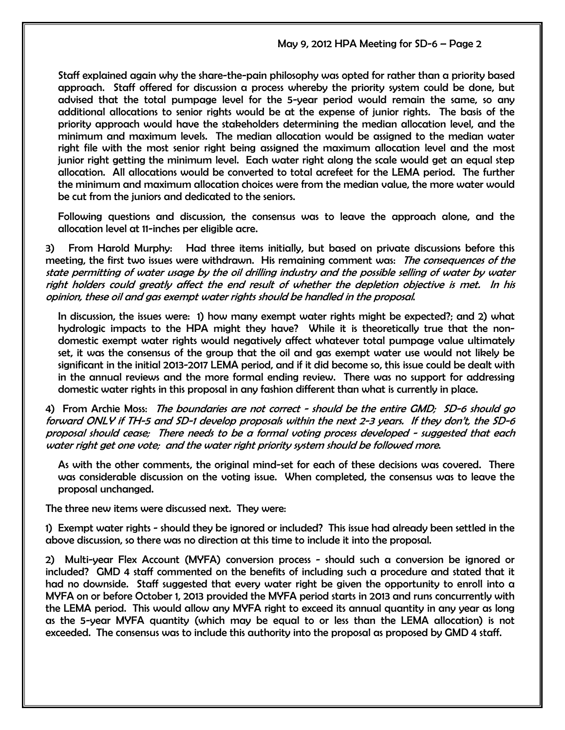Staff explained again why the share-the-pain philosophy was opted for rather than a priority based approach. Staff offered for discussion a process whereby the priority system could be done, but advised that the total pumpage level for the 5-year period would remain the same, so any additional allocations to senior rights would be at the expense of junior rights. The basis of the priority approach would have the stakeholders determining the median allocation level, and the minimum and maximum levels. The median allocation would be assigned to the median water right file with the most senior right being assigned the maximum allocation level and the most junior right getting the minimum level. Each water right along the scale would get an equal step allocation. All allocations would be converted to total acrefeet for the LEMA period. The further the minimum and maximum allocation choices were from the median value, the more water would be cut from the juniors and dedicated to the seniors.

Following questions and discussion, the consensus was to leave the approach alone, and the allocation level at 11-inches per eligible acre.

3) From Harold Murphy: Had three items initially, but based on private discussions before this meeting, the first two issues were withdrawn. His remaining comment was: The consequences of the state permitting of water usage by the oil drilling industry and the possible selling of water by water right holders could greatly affect the end result of whether the depletion objective is met. In his opinion, these oil and gas exempt water rights should be handled in the proposal.

In discussion, the issues were: 1) how many exempt water rights might be expected?; and 2) what hydrologic impacts to the HPA might they have? While it is theoretically true that the nondomestic exempt water rights would negatively affect whatever total pumpage value ultimately set, it was the consensus of the group that the oil and gas exempt water use would not likely be significant in the initial 2013-2017 LEMA period, and if it did become so, this issue could be dealt with in the annual reviews and the more formal ending review. There was no support for addressing domestic water rights in this proposal in any fashion different than what is currently in place.

4) From Archie Moss: *The boundaries are not correct - should be the entire GMD; SD-6 should go* forward ONLY if TH-5 and SD-1 develop proposals within the next 2-3 years. If they don't, the SD-6 proposal should cease; There needs to be a formal voting process developed - suggested that each water right get one vote; and the water right priority system should be followed more.

As with the other comments, the original mind-set for each of these decisions was covered. There was considerable discussion on the voting issue. When completed, the consensus was to leave the proposal unchanged.

The three new items were discussed next. They were:

1) Exempt water rights - should they be ignored or included? This issue had already been settled in the above discussion, so there was no direction at this time to include it into the proposal.

2) Multi-year Flex Account (MYFA) conversion process - should such a conversion be ignored or included? GMD 4 staff commented on the benefits of including such a procedure and stated that it had no downside. Staff suggested that every water right be given the opportunity to enroll into a MYFA on or before October 1, 2013 provided the MYFA period starts in 2013 and runs concurrently with the LEMA period. This would allow any MYFA right to exceed its annual quantity in any year as long as the 5-year MYFA quantity (which may be equal to or less than the LEMA allocation) is not exceeded. The consensus was to include this authority into the proposal as proposed by GMD 4 staff.